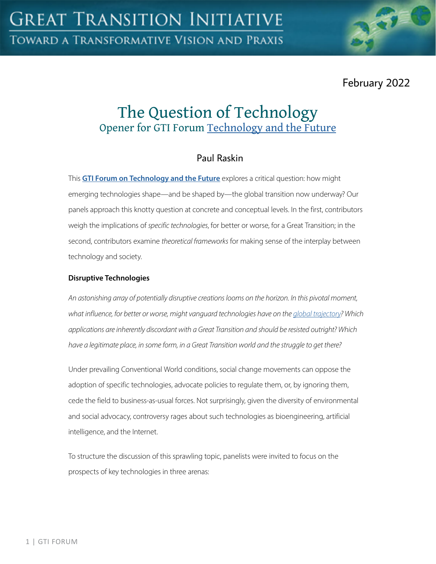

February 2022

# The Question of Technology Opener for GTI Forum [Technology and the Future](https://greattransition.org/gti-forum/tech-and-the-future)

## Paul Raskin

This **[GTI Forum on Technology and the Future](https://greattransition.org/gti-forum/tech-and-the-future)** explores a critical question: how might emerging technologies shape—and be shaped by—the global transition now underway? Our panels approach this knotty question at concrete and conceptual levels. In the first, contributors weigh the implications of *specific technologies*, for better or worse, for a Great Transition; in the second, contributors examine *theoretical frameworks* for making sense of the interplay between technology and society.

### **Disruptive Technologies**

*An astonishing array of potentially disruptive creations looms on the horizon. In this pivotal moment, what influence, for better or worse, might vanguard technologies have on the [global trajectory](https://greattransition.org/explore/scenarios)? Which applications are inherently discordant with a Great Transition and should be resisted outright? Which have a legitimate place, in some form, in a Great Transition world and the struggle to get there?* 

Under prevailing Conventional World conditions, social change movements can oppose the adoption of specific technologies, advocate policies to regulate them, or, by ignoring them, cede the field to business-as-usual forces. Not surprisingly, given the diversity of environmental and social advocacy, controversy rages about such technologies as bioengineering, artificial intelligence, and the Internet.

To structure the discussion of this sprawling topic, panelists were invited to focus on the prospects of key technologies in three arenas: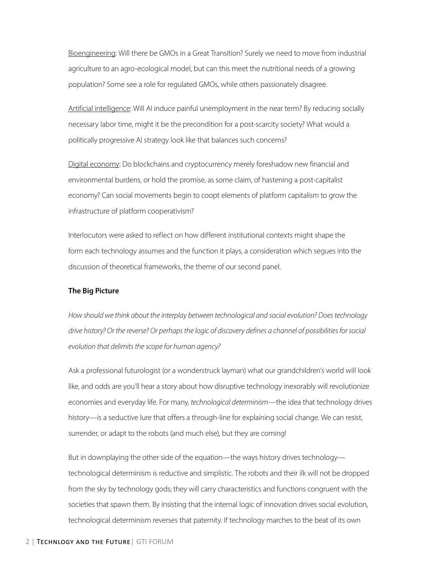Bioengineering: Will there be GMOs in a Great Transition? Surely we need to move from industrial agriculture to an agro-ecological model, but can this meet the nutritional needs of a growing population? Some see a role for regulated GMOs, while others passionately disagree.

Artificial intelligence: Will AI induce painful unemployment in the near term? By reducing socially necessary labor time, might it be the precondition for a post-scarcity society? What would a politically progressive AI strategy look like that balances such concerns?

Digital economy: Do blockchains and cryptocurrency merely foreshadow new financial and environmental burdens, or hold the promise, as some claim, of hastening a post-capitalist economy? Can social movements begin to coopt elements of platform capitalism to grow the infrastructure of platform cooperativism?

Interlocutors were asked to reflect on how different institutional contexts might shape the form each technology assumes and the function it plays, a consideration which segues into the discussion of theoretical frameworks, the theme of our second panel.

#### **The Big Picture**

*How should we think about the interplay between technological and social evolution? Does technology drive history? Or the reverse? Or perhaps the logic of discovery defines a channel of possibilities for social evolution that delimits the scope for human agency?*

Ask a professional futurologist (or a wonderstruck layman) what our grandchildren's world will look like, and odds are you'll hear a story about how disruptive technology inexorably will revolutionize economies and everyday life. For many, *technological determinism*—the idea that technology drives history—is a seductive lure that offers a through-line for explaining social change. We can resist, surrender, or adapt to the robots (and much else), but they are coming!

But in downplaying the other side of the equation—the ways history drives technology technological determinism is reductive and simplistic. The robots and their ilk will not be dropped from the sky by technology gods; they will carry characteristics and functions congruent with the societies that spawn them. By insisting that the internal logic of innovation drives social evolution, technological determinism reverses that paternity. If technology marches to the beat of its own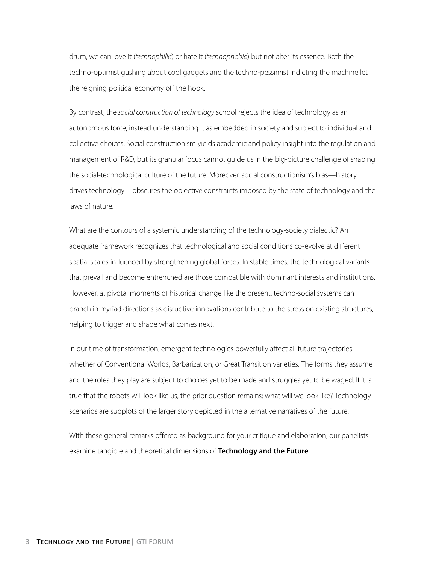drum, we can love it (*technophilia*) or hate it (*technophobia*) but not alter its essence. Both the techno-optimist gushing about cool gadgets and the techno-pessimist indicting the machine let the reigning political economy off the hook.

By contrast, the *social construction of technology* school rejects the idea of technology as an autonomous force, instead understanding it as embedded in society and subject to individual and collective choices. Social constructionism yields academic and policy insight into the regulation and management of R&D, but its granular focus cannot guide us in the big-picture challenge of shaping the social-technological culture of the future. Moreover, social constructionism's bias—history drives technology—obscures the objective constraints imposed by the state of technology and the laws of nature.

What are the contours of a systemic understanding of the technology-society dialectic? An adequate framework recognizes that technological and social conditions co-evolve at different spatial scales influenced by strengthening global forces. In stable times, the technological variants that prevail and become entrenched are those compatible with dominant interests and institutions. However, at pivotal moments of historical change like the present, techno-social systems can branch in myriad directions as disruptive innovations contribute to the stress on existing structures, helping to trigger and shape what comes next.

In our time of transformation, emergent technologies powerfully affect all future trajectories, whether of Conventional Worlds, Barbarization, or Great Transition varieties. The forms they assume and the roles they play are subject to choices yet to be made and struggles yet to be waged. If it is true that the robots will look like us, the prior question remains: what will we look like? Technology scenarios are subplots of the larger story depicted in the alternative narratives of the future.

With these general remarks offered as background for your critique and elaboration, our panelists examine tangible and theoretical dimensions of **Technology and the Future**.